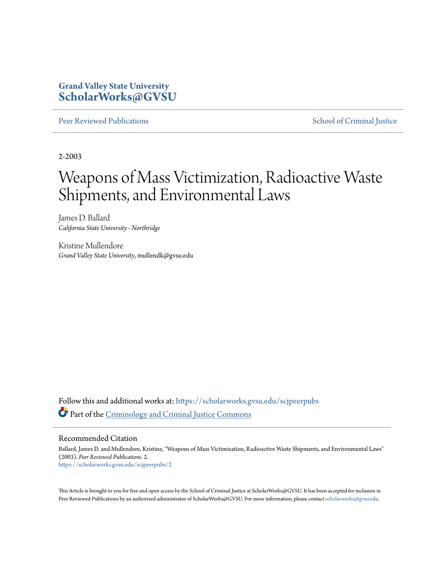# **Grand Valley State University [ScholarWorks@GVSU](https://scholarworks.gvsu.edu?utm_source=scholarworks.gvsu.edu%2Fscjpeerpubs%2F2&utm_medium=PDF&utm_campaign=PDFCoverPages)**

[Peer Reviewed Publications](https://scholarworks.gvsu.edu/scjpeerpubs?utm_source=scholarworks.gvsu.edu%2Fscjpeerpubs%2F2&utm_medium=PDF&utm_campaign=PDFCoverPages) **[School of Criminal Justice](https://scholarworks.gvsu.edu/scj?utm_source=scholarworks.gvsu.edu%2Fscjpeerpubs%2F2&utm_medium=PDF&utm_campaign=PDFCoverPages)** 

2-2003

# Weapons of Mass Victimization, Radioactive Waste Shipments, and Environmental Laws

James D. Ballard *California State University - Northridge*

Kristine Mullendore *Grand Valley State University*, mullendk@gvsu.edu

Follow this and additional works at: [https://scholarworks.gvsu.edu/scjpeerpubs](https://scholarworks.gvsu.edu/scjpeerpubs?utm_source=scholarworks.gvsu.edu%2Fscjpeerpubs%2F2&utm_medium=PDF&utm_campaign=PDFCoverPages) Part of the [Criminology and Criminal Justice Commons](http://network.bepress.com/hgg/discipline/367?utm_source=scholarworks.gvsu.edu%2Fscjpeerpubs%2F2&utm_medium=PDF&utm_campaign=PDFCoverPages)

Recommended Citation

Ballard, James D. and Mullendore, Kristine, "Weapons of Mass Victimization, Radioactive Waste Shipments, and Environmental Laws" (2003). *Peer Reviewed Publications*. 2. [https://scholarworks.gvsu.edu/scjpeerpubs/2](https://scholarworks.gvsu.edu/scjpeerpubs/2?utm_source=scholarworks.gvsu.edu%2Fscjpeerpubs%2F2&utm_medium=PDF&utm_campaign=PDFCoverPages)

This Article is brought to you for free and open access by the School of Criminal Justice at ScholarWorks@GVSU. It has been accepted for inclusion in Peer Reviewed Publications by an authorized administrator of ScholarWorks@GVSU. For more information, please contact [scholarworks@gvsu.edu.](mailto:scholarworks@gvsu.edu)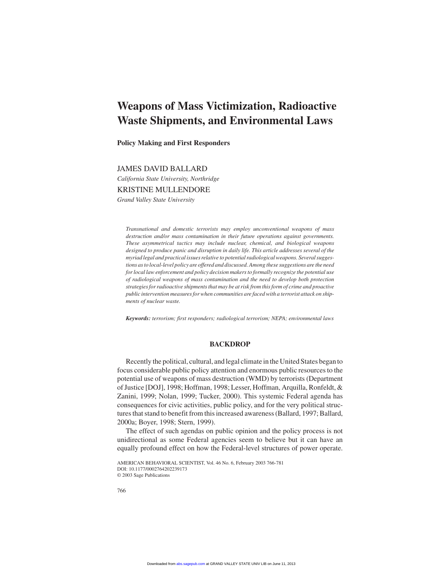# **Weapons of Mass Victimization, Radioactive Waste Shipments, and Environmental Laws**

**Policy Making and First Responders**

# JAMES DAVID BALLARD

*California State University, Northridge*

# KRISTINE MULLENDORE

*Grand Valley State University*

*Transnational and domestic terrorists may employ unconventional weapons of mass destruction and/or mass contamination in their future operations against governments. These asymmetrical tactics may include nuclear, chemical, and biological weapons designed to produce panic and disruption in daily life. This article addresses several of the myriad legal and practical issues relative to potential radiological weapons. Several suggestions as to local-level policy are offered and discussed. Among these suggestions are the need for local law enforcement and policy decision makers to formally recognize the potential use of radiological weapons of mass contamination and the need to develop both protection strategies for radioactive shipments that may be at risk from this form of crime and proactive public intervention measures for when communities are faced with a terrorist attack on shipments of nuclear waste.*

*Keywords: terrorism; first responders; radiological terrorism; NEPA; environmental laws*

# **BACKDROP**

Recently the political, cultural, and legal climate in the United States began to focus considerable public policy attention and enormous public resources to the potential use of weapons of mass destruction (WMD) by terrorists (Department of Justice [DOJ], 1998; Hoffman, 1998; Lesser, Hoffman, Arquilla, Ronfeldt, & Zanini, 1999; Nolan, 1999; Tucker, 2000). This systemic Federal agenda has consequences for civic activities, public policy, and for the very political structures that stand to benefit from this increased awareness (Ballard, 1997; Ballard, 2000a; Boyer, 1998; Stern, 1999).

The effect of such agendas on public opinion and the policy process is not unidirectional as some Federal agencies seem to believe but it can have an equally profound effect on how the Federal-level structures of power operate.

AMERICAN BEHAVIORAL SCIENTIST, Vol. 46 No. 6, February 2003 766-781 DOI: 10.1177/0002764202239173 © 2003 Sage Publications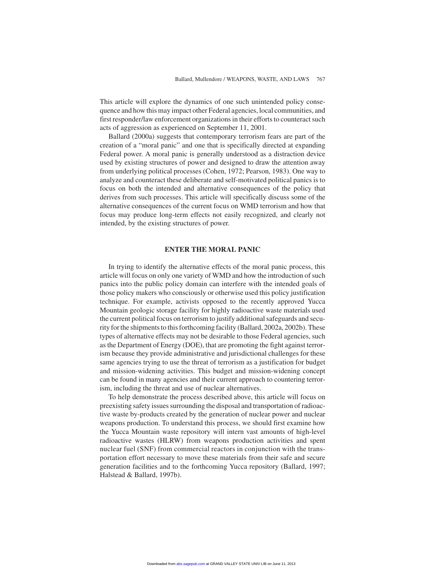This article will explore the dynamics of one such unintended policy consequence and how this may impact other Federal agencies, local communities, and first responder/law enforcement organizations in their efforts to counteract such acts of aggression as experienced on September 11, 2001.

Ballard (2000a) suggests that contemporary terrorism fears are part of the creation of a "moral panic" and one that is specifically directed at expanding Federal power. A moral panic is generally understood as a distraction device used by existing structures of power and designed to draw the attention away from underlying political processes (Cohen, 1972; Pearson, 1983). One way to analyze and counteract these deliberate and self-motivated political panics is to focus on both the intended and alternative consequences of the policy that derives from such processes. This article will specifically discuss some of the alternative consequences of the current focus on WMD terrorism and how that focus may produce long-term effects not easily recognized, and clearly not intended, by the existing structures of power.

# **ENTER THE MORAL PANIC**

In trying to identify the alternative effects of the moral panic process, this article will focus on only one variety of WMD and how the introduction of such panics into the public policy domain can interfere with the intended goals of those policy makers who consciously or otherwise used this policy justification technique. For example, activists opposed to the recently approved Yucca Mountain geologic storage facility for highly radioactive waste materials used the current political focus on terrorism to justify additional safeguards and security for the shipments to this forthcoming facility (Ballard, 2002a, 2002b). These types of alternative effects may not be desirable to those Federal agencies, such as the Department of Energy (DOE), that are promoting the fight against terrorism because they provide administrative and jurisdictional challenges for these same agencies trying to use the threat of terrorism as a justification for budget and mission-widening activities. This budget and mission-widening concept can be found in many agencies and their current approach to countering terrorism, including the threat and use of nuclear alternatives.

To help demonstrate the process described above, this article will focus on preexisting safety issues surrounding the disposal and transportation of radioactive waste by-products created by the generation of nuclear power and nuclear weapons production. To understand this process, we should first examine how the Yucca Mountain waste repository will intern vast amounts of high-level radioactive wastes (HLRW) from weapons production activities and spent nuclear fuel (SNF) from commercial reactors in conjunction with the transportation effort necessary to move these materials from their safe and secure generation facilities and to the forthcoming Yucca repository (Ballard, 1997; Halstead & Ballard, 1997b).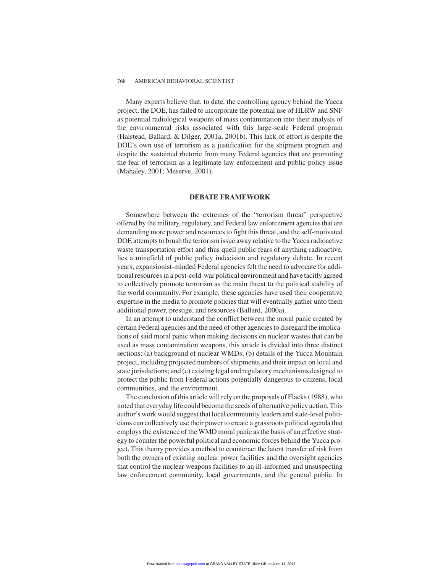Many experts believe that, to date, the controlling agency behind the Yucca project, the DOE, has failed to incorporate the potential use of HLRW and SNF as potential radiological weapons of mass contamination into their analysis of the environmental risks associated with this large-scale Federal program (Halstead, Ballard, & Dilger, 2001a, 2001b). This lack of effort is despite the DOE's own use of terrorism as a justification for the shipment program and despite the sustained rhetoric from many Federal agencies that are promoting the fear of terrorism as a legitimate law enforcement and public policy issue (Mahaley, 2001; Meserve, 2001).

# **DEBATE FRAMEWORK**

Somewhere between the extremes of the "terrorism threat" perspective offered by the military, regulatory, and Federal law enforcement agencies that are demanding more power and resources to fight this threat, and the self-motivated DOE attempts to brush the terrorism issue away relative to the Yucca radioactive waste transportation effort and thus quell public fears of anything radioactive, lies a minefield of public policy indecision and regulatory debate. In recent years, expansionist-minded Federal agencies felt the need to advocate for additional resources in a post-cold-war political environment and have tacitly agreed to collectively promote terrorism as the main threat to the political stability of the world community. For example, these agencies have used their cooperative expertise in the media to promote policies that will eventually gather unto them additional power, prestige, and resources (Ballard, 2000a).

In an attempt to understand the conflict between the moral panic created by certain Federal agencies and the need of other agencies to disregard the implications of said moral panic when making decisions on nuclear wastes that can be used as mass contamination weapons, this article is divided into three distinct sections: (a) background of nuclear WMDs; (b) details of the Yucca Mountain project, including projected numbers of shipments and their impact on local and state jurisdictions; and (c) existing legal and regulatory mechanisms designed to protect the public from Federal actions potentially dangerous to citizens, local communities, and the environment.

The conclusion of this article will rely on the proposals of Flacks (1988), who noted that everyday life could become the seeds of alternative policy action. This author's work would suggest that local community leaders and state-level politicians can collectively use their power to create a grassroots political agenda that employs the existence of the WMD moral panic as the basis of an effective strategy to counter the powerful political and economic forces behind the Yucca project. This theory provides a method to counteract the latent transfer of risk from both the owners of existing nuclear power facilities and the oversight agencies that control the nuclear weapons facilities to an ill-informed and unsuspecting law enforcement community, local governments, and the general public. In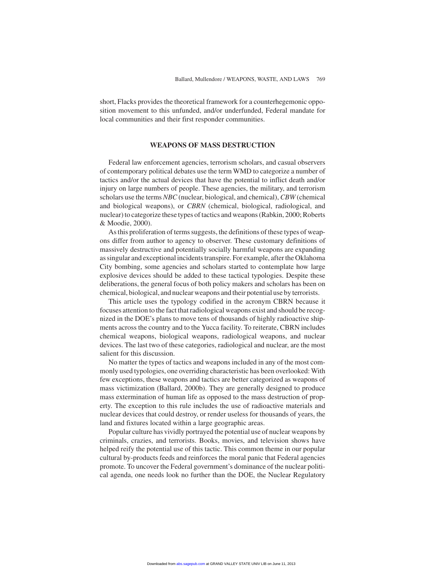short, Flacks provides the theoretical framework for a counterhegemonic opposition movement to this unfunded, and/or underfunded, Federal mandate for local communities and their first responder communities.

#### **WEAPONS OF MASS DESTRUCTION**

Federal law enforcement agencies, terrorism scholars, and casual observers of contemporary political debates use the term WMD to categorize a number of tactics and/or the actual devices that have the potential to inflict death and/or injury on large numbers of people. These agencies, the military, and terrorism scholars use the terms *NBC* (nuclear, biological, and chemical), *CBW* (chemical and biological weapons), or *CBRN* (chemical, biological, radiological, and nuclear) to categorize these types of tactics and weapons (Rabkin, 2000; Roberts & Moodie, 2000).

As this proliferation of terms suggests, the definitions of these types of weapons differ from author to agency to observer. These customary definitions of massively destructive and potentially socially harmful weapons are expanding as singular and exceptional incidents transpire. For example, after the Oklahoma City bombing, some agencies and scholars started to contemplate how large explosive devices should be added to these tactical typologies. Despite these deliberations, the general focus of both policy makers and scholars has been on chemical, biological, and nuclear weapons and their potential use by terrorists.

This article uses the typology codified in the acronym CBRN because it focuses attention to the fact that radiological weapons exist and should be recognized in the DOE's plans to move tens of thousands of highly radioactive shipments across the country and to the Yucca facility. To reiterate, CBRN includes chemical weapons, biological weapons, radiological weapons, and nuclear devices. The last two of these categories, radiological and nuclear, are the most salient for this discussion.

No matter the types of tactics and weapons included in any of the most commonly used typologies, one overriding characteristic has been overlooked: With few exceptions, these weapons and tactics are better categorized as weapons of mass victimization (Ballard, 2000b). They are generally designed to produce mass extermination of human life as opposed to the mass destruction of property. The exception to this rule includes the use of radioactive materials and nuclear devices that could destroy, or render useless for thousands of years, the land and fixtures located within a large geographic areas.

Popular culture has vividly portrayed the potential use of nuclear weapons by criminals, crazies, and terrorists. Books, movies, and television shows have helped reify the potential use of this tactic. This common theme in our popular cultural by-products feeds and reinforces the moral panic that Federal agencies promote. To uncover the Federal government's dominance of the nuclear political agenda, one needs look no further than the DOE, the Nuclear Regulatory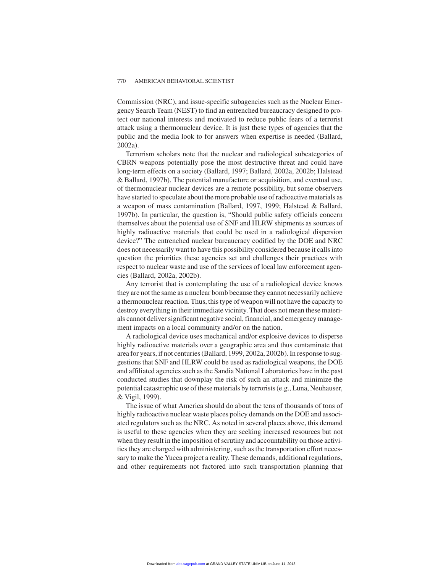Commission (NRC), and issue-specific subagencies such as the Nuclear Emergency Search Team (NEST) to find an entrenched bureaucracy designed to protect our national interests and motivated to reduce public fears of a terrorist attack using a thermonuclear device. It is just these types of agencies that the public and the media look to for answers when expertise is needed (Ballard, 2002a).

Terrorism scholars note that the nuclear and radiological subcategories of CBRN weapons potentially pose the most destructive threat and could have long-term effects on a society (Ballard, 1997; Ballard, 2002a, 2002b; Halstead & Ballard, 1997b). The potential manufacture or acquisition, and eventual use, of thermonuclear nuclear devices are a remote possibility, but some observers have started to speculate about the more probable use of radioactive materials as a weapon of mass contamination (Ballard, 1997, 1999; Halstead & Ballard, 1997b). In particular, the question is, "Should public safety officials concern themselves about the potential use of SNF and HLRW shipments as sources of highly radioactive materials that could be used in a radiological dispersion device?" The entrenched nuclear bureaucracy codified by the DOE and NRC does not necessarily want to have this possibility considered because it calls into question the priorities these agencies set and challenges their practices with respect to nuclear waste and use of the services of local law enforcement agencies (Ballard, 2002a, 2002b).

Any terrorist that is contemplating the use of a radiological device knows they are not the same as a nuclear bomb because they cannot necessarily achieve a thermonuclear reaction. Thus, this type of weapon will not have the capacity to destroy everything in their immediate vicinity. That does not mean these materials cannot deliver significant negative social, financial, and emergency management impacts on a local community and/or on the nation.

A radiological device uses mechanical and/or explosive devices to disperse highly radioactive materials over a geographic area and thus contaminate that area for years, if not centuries (Ballard, 1999, 2002a, 2002b). In response to suggestions that SNF and HLRW could be used as radiological weapons, the DOE and affiliated agencies such as the Sandia National Laboratories have in the past conducted studies that downplay the risk of such an attack and minimize the potential catastrophic use of these materials by terrorists (e.g., Luna, Neuhauser, & Vigil, 1999).

The issue of what America should do about the tens of thousands of tons of highly radioactive nuclear waste places policy demands on the DOE and associated regulators such as the NRC. As noted in several places above, this demand is useful to these agencies when they are seeking increased resources but not when they result in the imposition of scrutiny and accountability on those activities they are charged with administering, such as the transportation effort necessary to make the Yucca project a reality. These demands, additional regulations, and other requirements not factored into such transportation planning that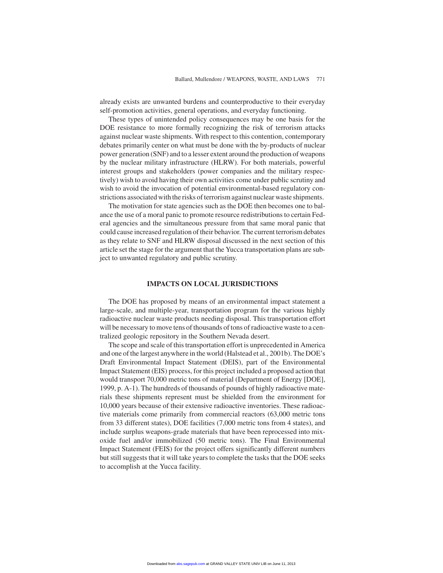already exists are unwanted burdens and counterproductive to their everyday self-promotion activities, general operations, and everyday functioning.

These types of unintended policy consequences may be one basis for the DOE resistance to more formally recognizing the risk of terrorism attacks against nuclear waste shipments. With respect to this contention, contemporary debates primarily center on what must be done with the by-products of nuclear power generation (SNF) and to a lesser extent around the production of weapons by the nuclear military infrastructure (HLRW). For both materials, powerful interest groups and stakeholders (power companies and the military respectively) wish to avoid having their own activities come under public scrutiny and wish to avoid the invocation of potential environmental-based regulatory constrictions associated with the risks of terrorism against nuclear waste shipments.

The motivation for state agencies such as the DOE then becomes one to balance the use of a moral panic to promote resource redistributions to certain Federal agencies and the simultaneous pressure from that same moral panic that could cause increased regulation of their behavior. The current terrorism debates as they relate to SNF and HLRW disposal discussed in the next section of this article set the stage for the argument that the Yucca transportation plans are subject to unwanted regulatory and public scrutiny.

# **IMPACTS ON LOCAL JURISDICTIONS**

The DOE has proposed by means of an environmental impact statement a large-scale, and multiple-year, transportation program for the various highly radioactive nuclear waste products needing disposal. This transportation effort will be necessary to move tens of thousands of tons of radioactive waste to a centralized geologic repository in the Southern Nevada desert.

The scope and scale of this transportation effort is unprecedented in America and one of the largest anywhere in the world (Halstead et al., 2001b). The DOE's Draft Environmental Impact Statement (DEIS), part of the Environmental Impact Statement (EIS) process, for this project included a proposed action that would transport 70,000 metric tons of material (Department of Energy [DOE], 1999, p. A-1). The hundreds of thousands of pounds of highly radioactive materials these shipments represent must be shielded from the environment for 10,000 years because of their extensive radioactive inventories. These radioactive materials come primarily from commercial reactors (63,000 metric tons from 33 different states), DOE facilities (7,000 metric tons from 4 states), and include surplus weapons-grade materials that have been reprocessed into mixoxide fuel and/or immobilized (50 metric tons). The Final Environmental Impact Statement (FEIS) for the project offers significantly different numbers but still suggests that it will take years to complete the tasks that the DOE seeks to accomplish at the Yucca facility.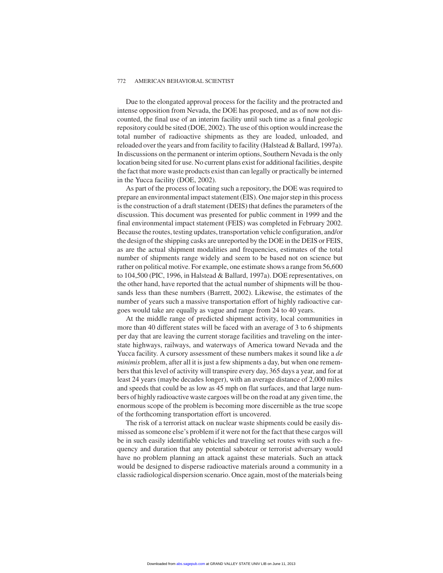Due to the elongated approval process for the facility and the protracted and intense opposition from Nevada, the DOE has proposed, and as of now not discounted, the final use of an interim facility until such time as a final geologic repository could be sited (DOE, 2002). The use of this option would increase the total number of radioactive shipments as they are loaded, unloaded, and reloaded over the years and from facility to facility (Halstead & Ballard, 1997a). In discussions on the permanent or interim options, Southern Nevada is the only location being sited for use. No current plans exist for additional facilities, despite the fact that more waste products exist than can legally or practically be interned in the Yucca facility (DOE, 2002).

As part of the process of locating such a repository, the DOE was required to prepare an environmental impact statement (EIS). One major step in this process is the construction of a draft statement (DEIS) that defines the parameters of the discussion. This document was presented for public comment in 1999 and the final environmental impact statement (FEIS) was completed in February 2002. Because the routes, testing updates, transportation vehicle configuration, and/or the design of the shipping casks are unreported by the DOE in the DEIS or FEIS, as are the actual shipment modalities and frequencies, estimates of the total number of shipments range widely and seem to be based not on science but rather on political motive. For example, one estimate shows a range from 56,600 to 104,500 (PIC, 1996, in Halstead & Ballard, 1997a). DOE representatives, on the other hand, have reported that the actual number of shipments will be thousands less than these numbers (Barrett, 2002). Likewise, the estimates of the number of years such a massive transportation effort of highly radioactive cargoes would take are equally as vague and range from 24 to 40 years.

At the middle range of predicted shipment activity, local communities in more than 40 different states will be faced with an average of 3 to 6 shipments per day that are leaving the current storage facilities and traveling on the interstate highways, railways, and waterways of America toward Nevada and the Yucca facility. A cursory assessment of these numbers makes it sound like a *de minimis* problem, after all it is just a few shipments a day, but when one remembers that this level of activity will transpire every day, 365 days a year, and for at least 24 years (maybe decades longer), with an average distance of 2,000 miles and speeds that could be as low as 45 mph on flat surfaces, and that large numbers of highly radioactive waste cargoes will be on the road at any given time, the enormous scope of the problem is becoming more discernible as the true scope of the forthcoming transportation effort is uncovered.

The risk of a terrorist attack on nuclear waste shipments could be easily dismissed as someone else's problem if it were not for the fact that these cargos will be in such easily identifiable vehicles and traveling set routes with such a frequency and duration that any potential saboteur or terrorist adversary would have no problem planning an attack against these materials. Such an attack would be designed to disperse radioactive materials around a community in a classic radiological dispersion scenario. Once again, most of the materials being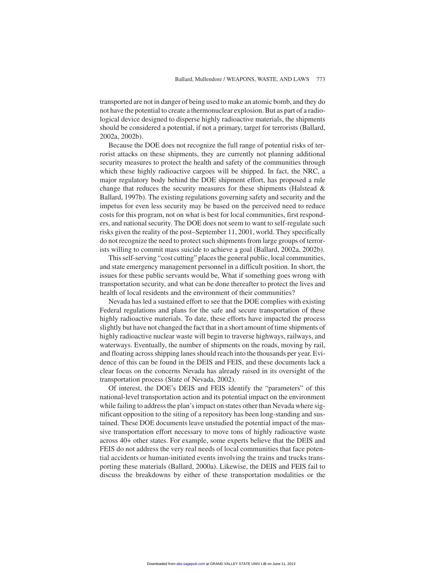transported are not in danger of being used to make an atomic bomb, and they do not have the potential to create a thermonuclear explosion. But as part of a radiological device designed to disperse highly radioactive materials, the shipments should be considered a potential, if not a primary, target for terrorists (Ballard, 2002a, 2002b).

Because the DOE does not recognize the full range of potential risks of terrorist attacks on these shipments, they are currently not planning additional security measures to protect the health and safety of the communities through which these highly radioactive cargoes will be shipped. In fact, the NRC, a major regulatory body behind the DOE shipment effort, has proposed a rule change that reduces the security measures for these shipments (Halstead & Ballard, 1997b). The existing regulations governing safety and security and the impetus for even less security may be based on the perceived need to reduce costs for this program, not on what is best for local communities, first responders, and national security. The DOE does not seem to want to self-regulate such risks given the reality of the post–September 11, 2001, world. They specifically do not recognize the need to protect such shipments from large groups of terrorists willing to commit mass suicide to achieve a goal (Ballard, 2002a, 2002b).

This self-serving "cost cutting" places the general public, local communities, and state emergency management personnel in a difficult position. In short, the issues for these public servants would be, What if something goes wrong with transportation security, and what can be done thereafter to protect the lives and health of local residents and the environment of their communities?

Nevada has led a sustained effort to see that the DOE complies with existing Federal regulations and plans for the safe and secure transportation of these highly radioactive materials. To date, these efforts have impacted the process slightly but have not changed the fact that in a short amount of time shipments of highly radioactive nuclear waste will begin to traverse highways, railways, and waterways. Eventually, the number of shipments on the roads, moving by rail, and floating across shipping lanes should reach into the thousands per year. Evidence of this can be found in the DEIS and FEIS, and these documents lack a clear focus on the concerns Nevada has already raised in its oversight of the transportation process (State of Nevada, 2002).

Of interest, the DOE's DEIS and FEIS identify the "parameters" of this national-level transportation action and its potential impact on the environment while failing to address the plan's impact on states other than Nevada where significant opposition to the siting of a repository has been long-standing and sustained. These DOE documents leave unstudied the potential impact of the massive transportation effort necessary to move tons of highly radioactive waste across 40+ other states. For example, some experts believe that the DEIS and FEIS do not address the very real needs of local communities that face potential accidents or human-initiated events involving the trains and trucks transporting these materials (Ballard, 2000a). Likewise, the DEIS and FEIS fail to discuss the breakdowns by either of these transportation modalities or the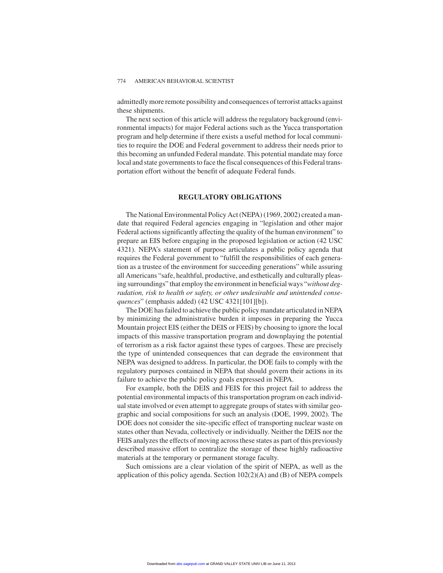admittedly more remote possibility and consequences of terrorist attacks against these shipments.

The next section of this article will address the regulatory background (environmental impacts) for major Federal actions such as the Yucca transportation program and help determine if there exists a useful method for local communities to require the DOE and Federal government to address their needs prior to this becoming an unfunded Federal mandate. This potential mandate may force local and state governments to face the fiscal consequences of this Federal transportation effort without the benefit of adequate Federal funds.

# **REGULATORY OBLIGATIONS**

The National Environmental Policy Act (NEPA) (1969, 2002) created a mandate that required Federal agencies engaging in "legislation and other major Federal actions significantly affecting the quality of the human environment" to prepare an EIS before engaging in the proposed legislation or action (42 USC 4321). NEPA's statement of purpose articulates a public policy agenda that requires the Federal government to "fulfill the responsibilities of each generation as a trustee of the environment for succeeding generations" while assuring all Americans "safe, healthful, productive, and esthetically and culturally pleasing surroundings" that employ the environment in beneficial ways "*without degradation, risk to health or safety, or other undesirable and unintended consequences*" (emphasis added) (42 USC 4321[101][b]).

The DOE has failed to achieve the public policy mandate articulated in NEPA by minimizing the administrative burden it imposes in preparing the Yucca Mountain project EIS (either the DEIS or FEIS) by choosing to ignore the local impacts of this massive transportation program and downplaying the potential of terrorism as a risk factor against these types of cargoes. These are precisely the type of unintended consequences that can degrade the environment that NEPA was designed to address. In particular, the DOE fails to comply with the regulatory purposes contained in NEPA that should govern their actions in its failure to achieve the public policy goals expressed in NEPA.

For example, both the DEIS and FEIS for this project fail to address the potential environmental impacts of this transportation program on each individual state involved or even attempt to aggregate groups of states with similar geographic and social compositions for such an analysis (DOE, 1999, 2002). The DOE does not consider the site-specific effect of transporting nuclear waste on states other than Nevada, collectively or individually. Neither the DEIS nor the FEIS analyzes the effects of moving across these states as part of this previously described massive effort to centralize the storage of these highly radioactive materials at the temporary or permanent storage faculty.

Such omissions are a clear violation of the spirit of NEPA, as well as the application of this policy agenda. Section 102(2)(A) and (B) of NEPA compels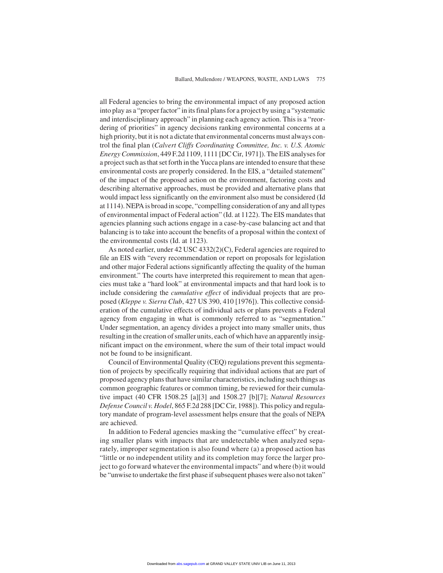all Federal agencies to bring the environmental impact of any proposed action into play as a "proper factor" in its final plans for a project by using a "systematic and interdisciplinary approach" in planning each agency action. This is a "reordering of priorities" in agency decisions ranking environmental concerns at a high priority, but it is not a dictate that environmental concerns must always control the final plan (*Calvert Cliffs Coordinating Committee, Inc. v. U.S. Atomic Energy Commission*, 449 F.2d 1109, 1111 [DC Cir, 1971]). The EIS analyses for a project such as that set forth in the Yucca plans are intended to ensure that these environmental costs are properly considered. In the EIS, a "detailed statement" of the impact of the proposed action on the environment, factoring costs and describing alternative approaches, must be provided and alternative plans that would impact less significantly on the environment also must be considered (Id at 1114). NEPA is broad in scope, "compelling consideration of any and all types of environmental impact of Federal action" (Id. at 1122). The EIS mandates that agencies planning such actions engage in a case-by-case balancing act and that balancing is to take into account the benefits of a proposal within the context of the environmental costs (Id. at 1123).

As noted earlier, under 42 USC 4332(2)(C), Federal agencies are required to file an EIS with "every recommendation or report on proposals for legislation and other major Federal actions significantly affecting the quality of the human environment." The courts have interpreted this requirement to mean that agencies must take a "hard look" at environmental impacts and that hard look is to include considering the *cumulative effect* of individual projects that are proposed (*Kleppe v. Sierra Club*, 427 US 390, 410 [1976]). This collective consideration of the cumulative effects of individual acts or plans prevents a Federal agency from engaging in what is commonly referred to as "segmentation." Under segmentation, an agency divides a project into many smaller units, thus resulting in the creation of smaller units, each of which have an apparently insignificant impact on the environment, where the sum of their total impact would not be found to be insignificant.

Council of Environmental Quality (CEQ) regulations prevent this segmentation of projects by specifically requiring that individual actions that are part of proposed agency plans that have similar characteristics, including such things as common geographic features or common timing, be reviewed for their cumulative impact (40 CFR 1508.25 [a][3] and 1508.27 [b][7]; *Natural Resources Defense Council v. Hodel*, 865 F.2d 288 [DC Cir, 1988]). This policy and regulatory mandate of program-level assessment helps ensure that the goals of NEPA are achieved.

In addition to Federal agencies masking the "cumulative effect" by creating smaller plans with impacts that are undetectable when analyzed separately, improper segmentation is also found where (a) a proposed action has "little or no independent utility and its completion may force the larger project to go forward whatever the environmental impacts" and where (b) it would be "unwise to undertake the first phase if subsequent phases were also not taken"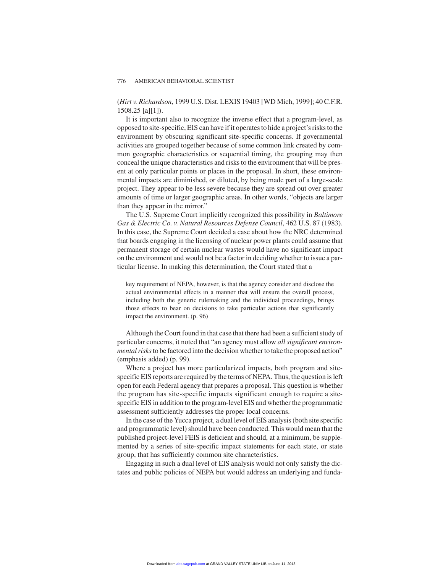(*Hirt v. Richardson*, 1999 U.S. Dist. LEXIS 19403 [WD Mich, 1999]; 40 C.F.R. 1508.25 [a][1]).

It is important also to recognize the inverse effect that a program-level, as opposed to site-specific, EIS can have if it operates to hide a project's risks to the environment by obscuring significant site-specific concerns. If governmental activities are grouped together because of some common link created by common geographic characteristics or sequential timing, the grouping may then conceal the unique characteristics and risks to the environment that will be present at only particular points or places in the proposal. In short, these environmental impacts are diminished, or diluted, by being made part of a large-scale project. They appear to be less severe because they are spread out over greater amounts of time or larger geographic areas. In other words, "objects are larger than they appear in the mirror."

The U.S. Supreme Court implicitly recognized this possibility in *Baltimore Gas & Electric Co. v. Natural Resources Defense Council*, 462 U.S. 87 (1983). In this case, the Supreme Court decided a case about how the NRC determined that boards engaging in the licensing of nuclear power plants could assume that permanent storage of certain nuclear wastes would have no significant impact on the environment and would not be a factor in deciding whether to issue a particular license. In making this determination, the Court stated that a

key requirement of NEPA, however, is that the agency consider and disclose the actual environmental effects in a manner that will ensure the overall process, including both the generic rulemaking and the individual proceedings, brings those effects to bear on decisions to take particular actions that significantly impact the environment. (p. 96)

Although the Court found in that case that there had been a sufficient study of particular concerns, it noted that "an agency must allow *all significant environmental risks*to be factored into the decision whether to take the proposed action" (emphasis added) (p. 99).

Where a project has more particularized impacts, both program and sitespecific EIS reports are required by the terms of NEPA. Thus, the question is left open for each Federal agency that prepares a proposal. This question is whether the program has site-specific impacts significant enough to require a sitespecific EIS in addition to the program-level EIS and whether the programmatic assessment sufficiently addresses the proper local concerns.

In the case of the Yucca project, a dual level of EIS analysis (both site specific and programmatic level) should have been conducted. This would mean that the published project-level FEIS is deficient and should, at a minimum, be supplemented by a series of site-specific impact statements for each state, or state group, that has sufficiently common site characteristics.

Engaging in such a dual level of EIS analysis would not only satisfy the dictates and public policies of NEPA but would address an underlying and funda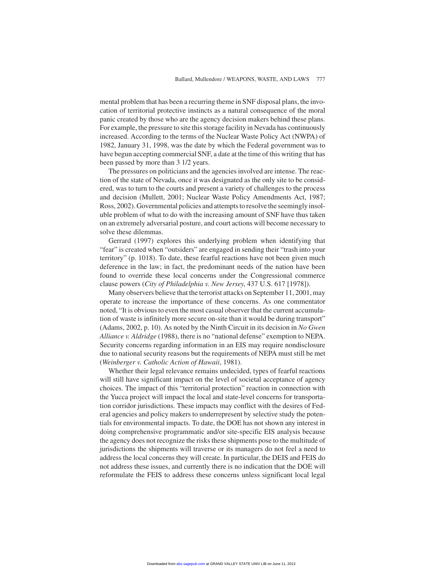mental problem that has been a recurring theme in SNF disposal plans, the invocation of territorial protective instincts as a natural consequence of the moral panic created by those who are the agency decision makers behind these plans. For example, the pressure to site this storage facility in Nevada has continuously increased. According to the terms of the Nuclear Waste Policy Act (NWPA) of 1982, January 31, 1998, was the date by which the Federal government was to have begun accepting commercial SNF, a date at the time of this writing that has been passed by more than 3 1/2 years.

The pressures on politicians and the agencies involved are intense. The reaction of the state of Nevada, once it was designated as the only site to be considered, was to turn to the courts and present a variety of challenges to the process and decision (Mullett, 2001; Nuclear Waste Policy Amendments Act, 1987; Ross, 2002). Governmental policies and attempts to resolve the seemingly insoluble problem of what to do with the increasing amount of SNF have thus taken on an extremely adversarial posture, and court actions will become necessary to solve these dilemmas.

Gerrard (1997) explores this underlying problem when identifying that "fear" is created when "outsiders" are engaged in sending their "trash into your territory" (p. 1018). To date, these fearful reactions have not been given much deference in the law; in fact, the predominant needs of the nation have been found to override these local concerns under the Congressional commerce clause powers (*City of Philadelphia v. New Jersey*, 437 U.S. 617 [1978]).

Many observers believe that the terrorist attacks on September 11, 2001, may operate to increase the importance of these concerns. As one commentator noted, "It is obvious to even the most casual observer that the current accumulation of waste is infinitely more secure on-site than it would be during transport" (Adams, 2002, p. 10). As noted by the Ninth Circuit in its decision in *No Gwen Alliance v. Aldridge* (1988), there is no "national defense" exemption to NEPA. Security concerns regarding information in an EIS may require nondisclosure due to national security reasons but the requirements of NEPA must still be met (*Weinberger v. Catholic Action of Hawaii*, 1981).

Whether their legal relevance remains undecided, types of fearful reactions will still have significant impact on the level of societal acceptance of agency choices. The impact of this "territorial protection" reaction in connection with the Yucca project will impact the local and state-level concerns for transportation corridor jurisdictions. These impacts may conflict with the desires of Federal agencies and policy makers to underrepresent by selective study the potentials for environmental impacts. To date, the DOE has not shown any interest in doing comprehensive programmatic and/or site-specific EIS analysis because the agency does not recognize the risks these shipments pose to the multitude of jurisdictions the shipments will traverse or its managers do not feel a need to address the local concerns they will create. In particular, the DEIS and FEIS do not address these issues, and currently there is no indication that the DOE will reformulate the FEIS to address these concerns unless significant local legal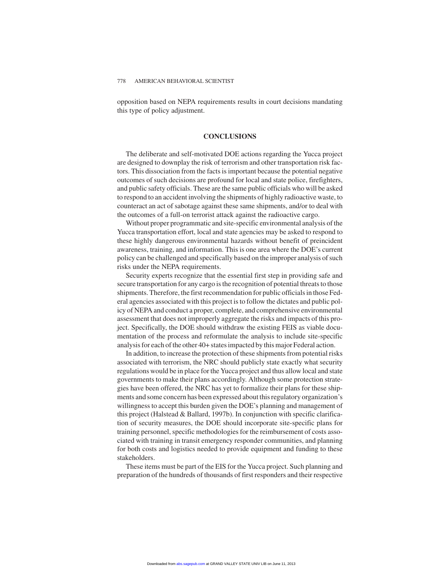opposition based on NEPA requirements results in court decisions mandating this type of policy adjustment.

# **CONCLUSIONS**

The deliberate and self-motivated DOE actions regarding the Yucca project are designed to downplay the risk of terrorism and other transportation risk factors. This dissociation from the facts is important because the potential negative outcomes of such decisions are profound for local and state police, firefighters, and public safety officials. These are the same public officials who will be asked to respond to an accident involving the shipments of highly radioactive waste, to counteract an act of sabotage against these same shipments, and/or to deal with the outcomes of a full-on terrorist attack against the radioactive cargo.

Without proper programmatic and site-specific environmental analysis of the Yucca transportation effort, local and state agencies may be asked to respond to these highly dangerous environmental hazards without benefit of preincident awareness, training, and information. This is one area where the DOE's current policy can be challenged and specifically based on the improper analysis of such risks under the NEPA requirements.

Security experts recognize that the essential first step in providing safe and secure transportation for any cargo is the recognition of potential threats to those shipments. Therefore, the first recommendation for public officials in those Federal agencies associated with this project is to follow the dictates and public policy of NEPA and conduct a proper, complete, and comprehensive environmental assessment that does not improperly aggregate the risks and impacts of this project. Specifically, the DOE should withdraw the existing FEIS as viable documentation of the process and reformulate the analysis to include site-specific analysis for each of the other 40+ states impacted by this major Federal action.

In addition, to increase the protection of these shipments from potential risks associated with terrorism, the NRC should publicly state exactly what security regulations would be in place for the Yucca project and thus allow local and state governments to make their plans accordingly. Although some protection strategies have been offered, the NRC has yet to formalize their plans for these shipments and some concern has been expressed about this regulatory organization's willingness to accept this burden given the DOE's planning and management of this project (Halstead & Ballard, 1997b). In conjunction with specific clarification of security measures, the DOE should incorporate site-specific plans for training personnel, specific methodologies for the reimbursement of costs associated with training in transit emergency responder communities, and planning for both costs and logistics needed to provide equipment and funding to these stakeholders.

These items must be part of the EIS for the Yucca project. Such planning and preparation of the hundreds of thousands of first responders and their respective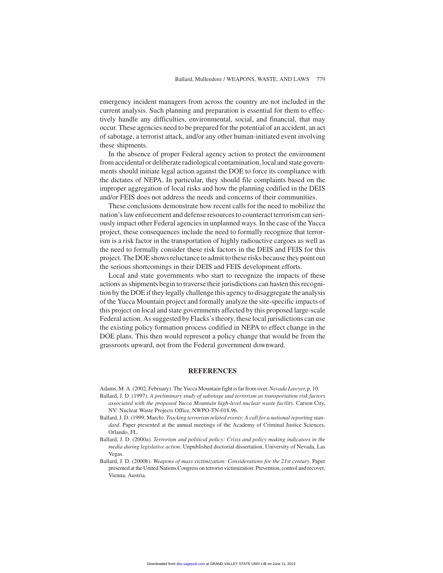emergency incident managers from across the country are not included in the current analysis. Such planning and preparation is essential for them to effectively handle any difficulties, environmental, social, and financial, that may occur. These agencies need to be prepared for the potential of an accident, an act of sabotage, a terrorist attack, and/or any other human-initiated event involving these shipments.

In the absence of proper Federal agency action to protect the environment from accidental or deliberate radiological contamination, local and state governments should initiate legal action against the DOE to force its compliance with the dictates of NEPA. In particular, they should file complaints based on the improper aggregation of local risks and how the planning codified in the DEIS and/or FEIS does not address the needs and concerns of their communities.

These conclusions demonstrate how recent calls for the need to mobilize the nation's law enforcement and defense resources to counteract terrorism can seriously impact other Federal agencies in unplanned ways. In the case of the Yucca project, these consequences include the need to formally recognize that terrorism is a risk factor in the transportation of highly radioactive cargoes as well as the need to formally consider these risk factors in the DEIS and FEIS for this project. The DOE shows reluctance to admit to these risks because they point out the serious shortcomings in their DEIS and FEIS development efforts.

Local and state governments who start to recognize the impacts of these actions as shipments begin to traverse their jurisdictions can hasten this recognition by the DOE if they legally challenge this agency to disaggregate the analysis of the Yucca Mountain project and formally analyze the site-specific impacts of this project on local and state governments affected by this proposed large-scale Federal action. As suggested by Flacks's theory, these local jurisdictions can use the existing policy formation process codified in NEPA to effect change in the DOE plans. This then would represent a policy change that would be from the grassroots upward, not from the Federal government downward.

#### **REFERENCES**

Adams, M. A. (2002, February). The Yucca Mountain fight is far from over.*Nevada Lawyer*, p. 10.

- Ballard, J. D. (1997). *A preliminary study of sabotage and terrorism as transportation risk factors associated with the proposed Yucca Mountain high-level nuclear waste facility*. Carson City, NV: Nuclear Waste Projects Office, NWPO-TN-018.96.
- Ballard, J. D. (1999, March). *Tracking terrorism related events: A call for a national reporting standard*. Paper presented at the annual meetings of the Academy of Criminal Justice Sciences, Orlando, FL.
- Ballard, J. D. (2000a). *Terrorism and political policy: Crisis and policy making indicators in the media during legislative action*. Unpublished doctorial dissertation, University of Nevada, Las Vegas.
- Ballard, J. D. (2000b). *Weapons of mass victimization: Considerations for the 21st century*. Paper presented at the United Nations Congress on terrorist victimization: Prevention, control and recover, Vienna, Austria.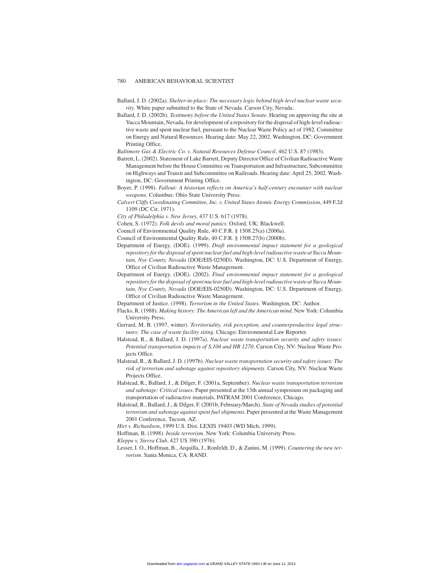- Ballard, J. D. (2002a). *Shelter-in-place: The necessary logic behind high-level nuclear waste security*. White paper submitted to the State of Nevada. Carson City, Nevada.
- Ballard, J. D. (2002b). *Testimony before the United States Senate*. Hearing on approving the site at Yucca Mountain, Nevada, for development of a repository for the disposal of high-level radioactive waste and spent nuclear fuel, pursuant to the Nuclear Waste Policy act of 1982. Committee on Energy and Natural Resources. Hearing date: May 22, 2002. Washington, DC: Government Printing Office.

*Baltimore Gas & Electric Co. v. Natural Resources Defense Council*, 462 U.S. 87 (1983).

- Barrett, L. (2002). Statement of Lake Barrett, Deputy Director Office of Civilian Radioactive Waste Management before the House Committee on Transportation and Infrastructure, Subcommittee on Highways and Transit and Subcommittee on Railroads. Hearing date: April 25, 2002. Washington, DC: Government Printing Office.
- Boyer, P. (1998). *Fallout: A historian reflects on America's half-century encounter with nuclear weapons*. Columbus: Ohio State University Press.
- *Calvert Cliffs Coordinating Committee, Inc. v. United States Atomic Energy Commission*, 449 F.2d 1109 (DC Cir, 1971).
- *City of Philadelphia v. New Jersey*, 437 U.S. 617 (1978).
- Cohen, S. (1972). *Folk devils and moral panics*. Oxford, UK: Blackwell.
- Council of Environmental Quality Rule, 40 C.F.R. § 1508.25(a) (2000a).
- Council of Environmental Quality Rule, 40 C.F.R. § 1508.27(b) (2000b).
- Department of Energy. (DOE). (1999). *Draft environmental impact statement for a geological repository for the disposal of spent nuclear fuel and high-level radioactive waste at Yucca Mountain, Nye County, Nevada* (DOE/EIS-0250D). Washington, DC: U.S. Department of Energy, Office of Civilian Radioactive Waste Management.
- Department of Energy. (DOE). (2002). *Final environmental impact statement for a geological repository for the disposal of spent nuclear fuel and high-level radioactive waste at Yucca Mountain, Nye County, Nevada* (DOE/EIS-0250D). Washington, DC: U.S. Department of Energy, Office of Civilian Radioactive Waste Management.
- Department of Justice. (1998). *Terrorism in the United States*. Washington, DC: Author.
- Flacks, R. (1988). *Making history: The American left and the American mind*. New York: Columbia University Press.
- Gerrard, M. B. (1997, winter). *Territoriality, risk perception, and counterproductive legal structures: The case of waste facility siting*. Chicago: Environmental Law Reporter.
- Halstead, R., & Ballard, J. D. (1997a). *Nuclear waste transportation security and safety issues: Potential transportation impacts of S.104 and HR 1270*. Carson City, NV: Nuclear Waste Projects Office.
- Halstead, R., & Ballard, J. D. (1997b). *Nuclear waste transportation security and safety issues: The risk of terrorism and sabotage against repository shipments*. Carson City, NV: Nuclear Waste Projects Office.
- Halstead, R., Ballard, J., & Dilger, F. (2001a, September). *Nuclear waste transportation terrorism and sabotage: Critical issues*. Paper presented at the 13th annual symposium on packaging and transportation of radioactive materials, PATRAM 2001 Conference, Chicago.
- Halstead, R., Ballard, J., & Dilger, F. (2001b, February/March). *State of Nevada studies of potential terrorism and sabotage against spent fuel shipments*. Paper presented at the Waste Management 2001 Conference, Tucson, AZ.
- *Hirt v. Richardson*, 1999 U.S. Dist. LEXIS 19403 (WD Mich, 1999).
- Hoffman, B. (1998). *Inside terrorism*. New York: Columbia University Press.

*Kleppe v. Sierra Club*, 427 US 390 (1976).

Lesser, I. O., Hoffman, B., Arquilla, J., Ronfeldt, D., & Zanini, M. (1999). *Countering the new terrorism*. Santa Monica, CA: RAND.